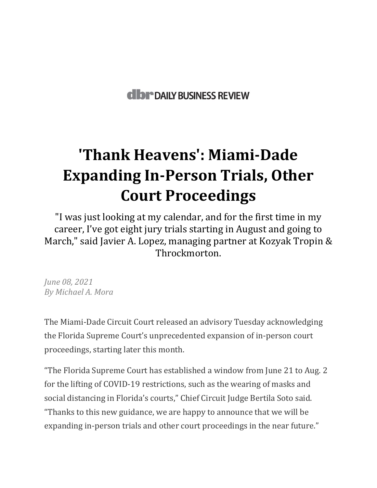## **dibr** DAILY BUSINESS REVIEW

## **'Thank Heavens': Miami-Dade Expanding In-Person Trials, Other Court Proceedings**

"I was just looking at my calendar, and for the first time in my career, I've got eight jury trials starting in August and going to March," said Javier A. Lopez, managing partner at Kozyak Tropin & Throckmorton.

*June 08, 2021 By Michael A. Mora* 

The Miami-Dade Circuit Court released an advisory Tuesday acknowledging the Florida Supreme Court's unprecedented expansion of in-person court proceedings, starting later this month.

"The Florida Supreme Court has established a window from June 21 to Aug. 2 for the lifting of COVID-19 restrictions, such as the wearing of masks and social distancing in Florida's courts," Chief Circuit Judge Bertila Soto said. "Thanks to this new guidance, we are happy to announce that we will be expanding in-person trials and other court proceedings in the near future."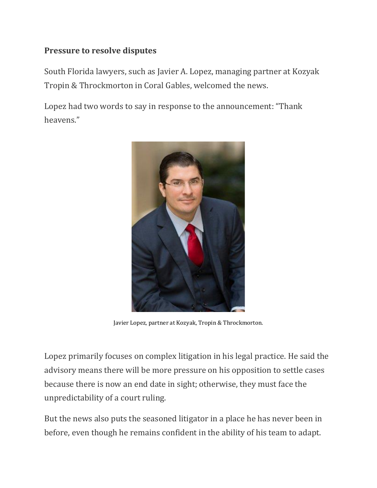## **Pressure to resolve disputes**

South Florida lawyers, such as Javier A. Lopez, managing partner at Kozyak Tropin & Throckmorton in Coral Gables, welcomed the news.

Lopez had two words to say in response to the announcement: "Thank heavens."



Javier Lopez, partner at Kozyak, Tropin & Throckmorton.

Lopez primarily focuses on complex litigation in his legal practice. He said the advisory means there will be more pressure on his opposition to settle cases because there is now an end date in sight; otherwise, they must face the unpredictability of a court ruling.

But the news also puts the seasoned litigator in a place he has never been in before, even though he remains confident in the ability of his team to adapt.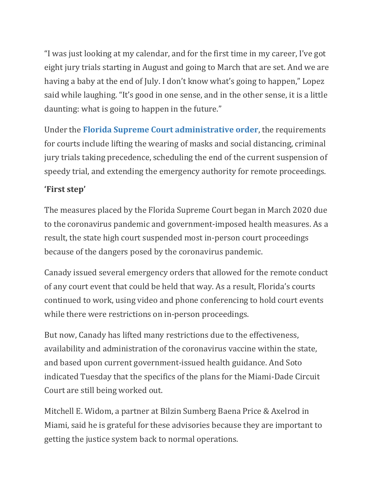"I was just looking at my calendar, and for the first time in my career, I've got eight jury trials starting in August and going to March that are set. And we are having a baby at the end of July. I don't know what's going to happen," Lopez said while laughing. "It's good in one sense, and in the other sense, it is a little daunting: what is going to happen in the future."

Under the **[Florida Supreme Court administrative order](https://drive.google.com/file/d/1OXzwtVafaKcJ0JuHuuTdJu4z4k6HzKB5/view?usp=sharing)**, the requirements for courts include lifting the wearing of masks and social distancing, criminal jury trials taking precedence, scheduling the end of the current suspension of speedy trial, and extending the emergency authority for remote proceedings.

## **'First step'**

The measures placed by the Florida Supreme Court began in March 2020 due to the coronavirus pandemic and government-imposed health measures. As a result, the state high court suspended most in-person court proceedings because of the dangers posed by the coronavirus pandemic.

Canady issued several emergency orders that allowed for the remote conduct of any court event that could be held that way. As a result, Florida's courts continued to work, using video and phone conferencing to hold court events while there were restrictions on in-person proceedings.

But now, Canady has lifted many restrictions due to the effectiveness, availability and administration of the coronavirus vaccine within the state, and based upon current government-issued health guidance. And Soto indicated Tuesday that the specifics of the plans for the Miami-Dade Circuit Court are still being worked out.

Mitchell E. Widom, a partner at Bilzin Sumberg Baena Price & Axelrod in Miami, said he is grateful for these advisories because they are important to getting the justice system back to normal operations.